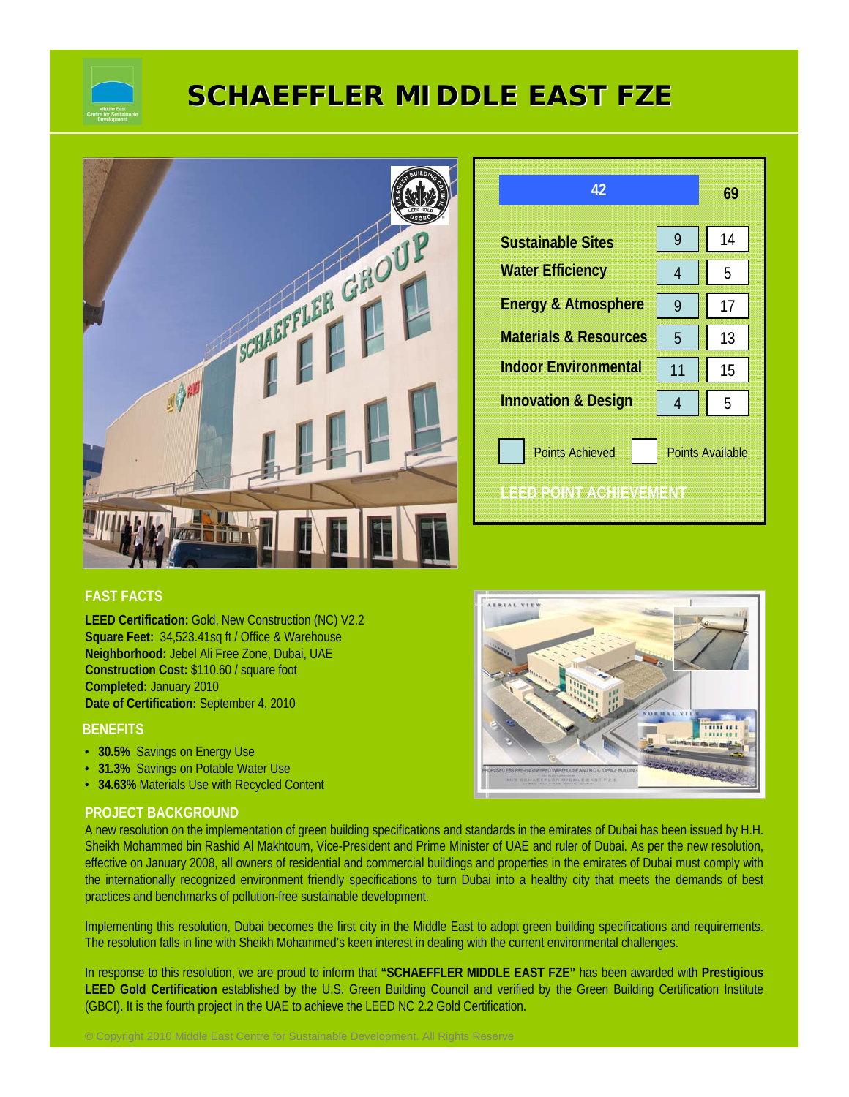

# **SCHAEFFLER MIDDLE EAST FZE SCHAEFFLER MIDDLE EAST FZE**



# **FAST FACTS**

**LEED Certification:** Gold, New Construction (NC) V2.2 **Square Feet:** 34,523.41sq ft / Office & Warehouse **Neighborhood:** Jebel Ali Free Zone, Dubai, UAE **Construction Cost:** \$110.60 / square foot **Completed:** January 2010 **Date of Certification:** September 4, 2010

#### **BENEFITS**

- **30.5%** Savings on Energy Use
- **31.3%** Savings on Potable Water Use
- **34.63%** Materials Use with Recycled Content

#### **PROJECT BACKGROUND**

A new resolution on the implementation of green building specifications and standards in the emirates of Dubai has been issued by H.H. Sheikh Mohammed bin Rashid Al Makhtoum, Vice-President and Prime Minister of UAE and ruler of Dubai. As per the new resolution, effective on January 2008, all owners of residential and commercial buildings and properties in the emirates of Dubai must comply with the internationally recognized environment friendly specifications to turn Dubai into a healthy city that meets the demands of best practices and benchmarks of pollution-free sustainable development.

Implementing this resolution, Dubai becomes the first city in the Middle East to adopt green building specifications and requirements. The resolution falls in line with Sheikh Mohammed's keen interest in dealing with the current environmental challenges.

In response to this resolution, we are proud to inform that **"SCHAEFFLER MIDDLE EAST FZE"** has been awarded with **Prestigious**  LEED Gold Certification established by the U.S. Green Building Council and verified by the Green Building Certification Institute (GBCI). It is the fourth project in the UAE to achieve the LEED NC 2.2 Gold Certification.



14